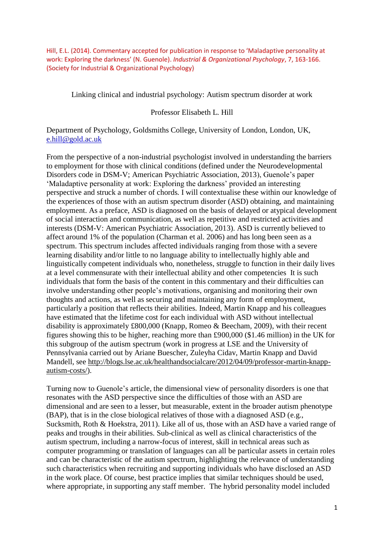Hill, E.L. (2014). Commentary accepted for publication in response to 'Maladaptive personality at work: Exploring the darkness' (N. Guenole). *Industrial & Organizational Psychology*, 7, 163-166. (Society for Industrial & Organizational Psychology)

Linking clinical and industrial psychology: Autism spectrum disorder at work

## Professor Elisabeth L. Hill

Department of Psychology, Goldsmiths College, University of London, London, UK, [e.hill@gold.ac.uk](mailto:e.hill@gold.ac.uk)

From the perspective of a non-industrial psychologist involved in understanding the barriers to employment for those with clinical conditions (defined under the Neurodevelopmental Disorders code in DSM-V; American Psychiatric Association, 2013), Guenole's paper 'Maladaptive personality at work: Exploring the darkness' provided an interesting perspective and struck a number of chords. I will contextualise these within our knowledge of the experiences of those with an autism spectrum disorder (ASD) obtaining, and maintaining employment. As a preface, ASD is diagnosed on the basis of delayed or atypical development of social interaction and communication, as well as repetitive and restricted activities and interests (DSM-V: American Psychiatric Association, 2013). ASD is currently believed to affect around 1% of the population (Charman et al. 2006) and has long been seen as a spectrum. This spectrum includes affected individuals ranging from those with a severe learning disability and/or little to no language ability to intellectually highly able and linguistically competent individuals who, nonetheless, struggle to function in their daily lives at a level commensurate with their intellectual ability and other competencies It is such individuals that form the basis of the content in this commentary and their difficulties can involve understanding other people's motivations, organising and monitoring their own thoughts and actions, as well as securing and maintaining any form of employment, particularly a position that reflects their abilities. Indeed, Martin Knapp and his colleagues have estimated that the lifetime cost for each individual with ASD without intellectual disability is approximately £800,000 (Knapp, Romeo & Beecham, 2009), with their recent figures showing this to be higher, reaching more than £900,000 (\$1.46 million) in the UK for this subgroup of the autism spectrum (work in progress at LSE and the University of Pennsylvania carried out by Ariane Buescher, Zuleyha Cidav, Martin Knapp and David Mandell, see [http://blogs.lse.ac.uk/healthandsocialcare/2012/04/09/professor-martin-knapp](http://blogs.lse.ac.uk/healthandsocialcare/2012/04/09/professor-martin-knapp-autism-costs/)[autism-costs/\)](http://blogs.lse.ac.uk/healthandsocialcare/2012/04/09/professor-martin-knapp-autism-costs/).

Turning now to Guenole's article, the dimensional view of personality disorders is one that resonates with the ASD perspective since the difficulties of those with an ASD are dimensional and are seen to a lesser, but measurable, extent in the broader autism phenotype (BAP), that is in the close biological relatives of those with a diagnosed ASD (e.g., Sucksmith, Roth & Hoekstra, 2011). Like all of us, those with an ASD have a varied range of peaks and troughs in their abilities. Sub-clinical as well as clinical characteristics of the autism spectrum, including a narrow-focus of interest, skill in technical areas such as computer programming or translation of languages can all be particular assets in certain roles and can be characteristic of the autism spectrum, highlighting the relevance of understanding such characteristics when recruiting and supporting individuals who have disclosed an ASD in the work place. Of course, best practice implies that similar techniques should be used, where appropriate, in supporting any staff member. The hybrid personality model included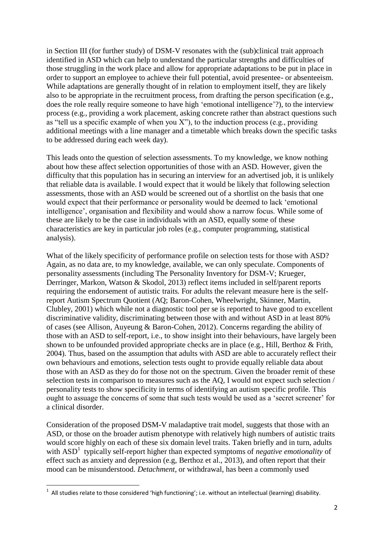in Section III (for further study) of DSM-V resonates with the (sub)clinical trait approach identified in ASD which can help to understand the particular strengths and difficulties of those struggling in the work place and allow for appropriate adaptations to be put in place in order to support an employee to achieve their full potential, avoid presentee- or absenteeism. While adaptations are generally thought of in relation to employment itself, they are likely also to be appropriate in the recruitment process, from drafting the person specification (e.g., does the role really require someone to have high 'emotional intelligence'?), to the interview process (e.g., providing a work placement, asking concrete rather than abstract questions such as "tell us a specific example of when you  $X$ "), to the induction process (e.g., providing additional meetings with a line manager and a timetable which breaks down the specific tasks to be addressed during each week day).

This leads onto the question of selection assessments. To my knowledge, we know nothing about how these affect selection opportunities of those with an ASD. However, given the difficulty that this population has in securing an interview for an advertised job, it is unlikely that reliable data is available. I would expect that it would be likely that following selection assessments, those with an ASD would be screened out of a shortlist on the basis that one would expect that their performance or personality would be deemed to lack 'emotional intelligence', organisation and flexibility and would show a narrow focus. While some of these are likely to be the case in individuals with an ASD, equally some of these characteristics are key in particular job roles (e.g., computer programming, statistical analysis).

What of the likely specificity of performance profile on selection tests for those with ASD? Again, as no data are, to my knowledge, available, we can only speculate. Components of personality assessments (including The Personality Inventory for DSM-V; Krueger, Derringer, Markon, Watson & Skodol, 2013) reflect items included in self/parent reports requiring the endorsement of autistic traits. For adults the relevant measure here is the selfreport Autism Spectrum Quotient (AQ; Baron-Cohen, Wheelwright, Skinner, Martin, Clubley, 2001) which while not a diagnostic tool per se is reported to have good to excellent discriminative validity, discriminating between those with and without ASD in at least 80% of cases (see Allison, Auyeung & Baron-Cohen, 2012). Concerns regarding the ability of those with an ASD to self-report, i.e., to show insight into their behaviours, have largely been shown to be unfounded provided appropriate checks are in place (e.g., Hill, Berthoz & Frith, 2004). Thus, based on the assumption that adults with ASD are able to accurately reflect their own behaviours and emotions, selection tests ought to provide equally reliable data about those with an ASD as they do for those not on the spectrum. Given the broader remit of these selection tests in comparison to measures such as the AQ, I would not expect such selection / personality tests to show specificity in terms of identifying an autism specific profile. This ought to assuage the concerns of some that such tests would be used as a 'secret screener' for a clinical disorder.

Consideration of the proposed DSM-V maladaptive trait model, suggests that those with an ASD, or those on the broader autism phenotype with relatively high numbers of autistic traits would score highly on each of these six domain level traits. Taken briefly and in turn, adults with ASD<sup>1</sup> typically self-report higher than expected symptoms of *negative emotionality* of effect such as anxiety and depression (e.g, Berthoz et al., 2013), and often report that their mood can be misunderstood. *Detachment*, or withdrawal, has been a commonly used

 1 All studies relate to those considered 'high functioning'; i.e. without an intellectual (learning) disability.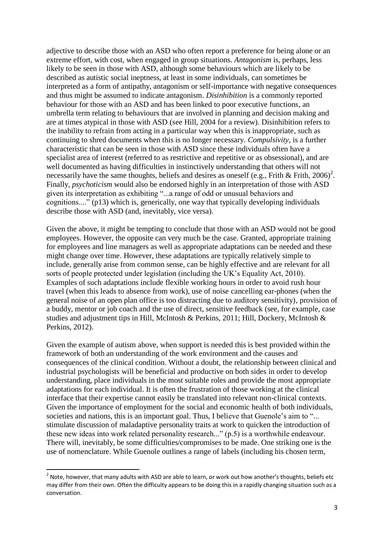adjective to describe those with an ASD who often report a preference for being alone or an extreme effort, with cost, when engaged in group situations. *Antagonism* is, perhaps, less likely to be seen in those with ASD, although some behaviours which are likely to be described as autistic social ineptness, at least in some individuals, can sometimes be interpreted as a form of antipathy, antagonism or self-importance with negative consequences and thus might be assumed to indicate antagonism. *Disinhibition* is a commonly reported behaviour for those with an ASD and has been linked to poor executive functions, an umbrella term relating to behaviours that are involved in planning and decision making and are at times atypical in those with ASD (see Hill, 2004 for a review). Disinhibition refers to the inability to refrain from acting in a particular way when this is inappropriate, such as continuing to shred documents when this is no longer necessary. *Compulsivity*, is a further characteristic that can be seen in those with ASD since these individuals often have a specialist area of interest (referred to as restrictive and repetitive or as obsessional), and are well documented as having difficulties in instinctively understanding that others will not necessarily have the same thoughts, beliefs and desires as oneself (e.g., Frith & Frith, 2006)<sup>2</sup>. Finally, *psychoticism* would also be endorsed highly in an interpretation of those with ASD given its interpretation as exhibiting "...a range of odd or unusual behaviors and cognitions...." (p13) which is, generically, one way that typically developing individuals describe those with ASD (and, inevitably, vice versa).

Given the above, it might be tempting to conclude that those with an ASD would not be good employees. However, the opposite can very much be the case. Granted, appropriate training for employees and line managers as well as appropriate adaptations can be needed and these might change over time. However, these adaptations are typically relatively simple to include, generally arise from common sense, can be highly effective and are relevant for all sorts of people protected under legislation (including the UK's Equality Act, 2010). Examples of such adaptations include flexible working hours in order to avoid rush hour travel (when this leads to absence from work), use of noise cancelling ear-phones (when the general noise of an open plan office is too distracting due to auditory sensitivity), provision of a buddy, mentor or job coach and the use of direct, sensitive feedback (see, for example, case studies and adjustment tips in Hill, McIntosh & Perkins, 2011; Hill, Dockery, McIntosh & Perkins, 2012).

Given the example of autism above, when support is needed this is best provided within the framework of both an understanding of the work environment and the causes and consequences of the clinical condition. Without a doubt, the relationship between clinical and industrial psychologists will be beneficial and productive on both sides in order to develop understanding, place individuals in the most suitable roles and provide the most appropriate adaptations for each individual. It is often the frustration of those working at the clinical interface that their expertise cannot easily be translated into relevant non-clinical contexts. Given the importance of employment for the social and economic health of both individuals, societies and nations, this is an important goal. Thus, I believe that Guenole's aim to "... stimulate discussion of maladaptive personality traits at work to quicken the introduction of these new ideas into work related personality research..." (p.5) is a worthwhile endeavour. There will, inevitably, be some difficulties/compromises to be made. One striking one is the use of nomenclature. While Guenole outlines a range of labels (including his chosen term,

1

 $2$  Note, however, that many adults with ASD are able to learn, or work out how another's thoughts, beliefs etc may differ from their own. Often the difficulty appears to be doing this in a rapidly changing situation such as a conversation.